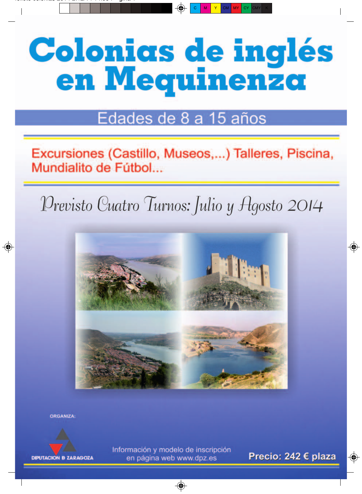# **Colonias de inglés** en Mequinenza

# Edades de 8 a 15 años

Excursiones (Castillo, Museos,...) Talleres, Piscina, Mundialito de Fútbol...

Previsto Cuatro Turnos: Julio y Agosto 2014



**ORGANIZA:** 



Información y modelo de inscripción en página web www.dpz.es

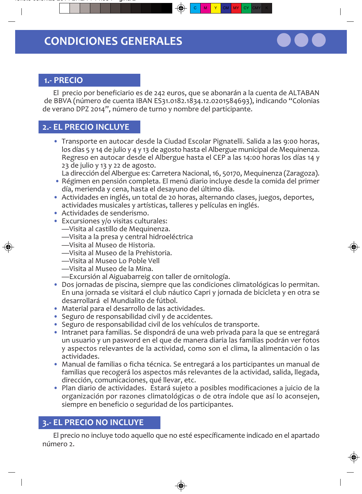

#### 1.- PRECIO

El precio por beneficiario es de 242 euros, que se abonarán a la cuenta de ALTABAN de BBVA (número de cuenta IBAN ES31.0182.1834.12.0201584693), indicando "Colonias de verano DPZ 2014", número de turno y nombre del participante.

## 2.- EL PRECIO INCLUYE

- · Transporte en autocar desde la Ciudad Escolar Pignatelli. Salida a las 9:00 horas, los días 5 y 14 de julio y 4 y 13 de agosto hasta el Albergue municipal de Mequinenza. Regreso en autocar desde el Albergue hasta el CEP a las 14:00 horas los días 14 y 23 de julio y 13 y 22 de agosto.
	- La dirección del Albergue es: Carretera Nacional, 16, 50170, Mequinenza (Zaragoza).
- · Régimen en pensión completa. El menú diario incluye desde la comida del primer día, merienda y cena, hasta el desayuno del último día.
- · Actividades en inglés, un total de 20 horas, alternando clases, juegos, deportes, actividades musicales y artísticas, talleres y películas en inglés.
- · Actividades de senderismo.
- Excursiones y/o visitas culturales:
	- -Visita al castillo de Mequinenza.
	- -Visita a la presa y central hidroeléctrica
	- -Visita al Museo de Historia.
	- -Visita al Museo de la Prehistoria.
	- -Visita al Museo Lo Poble Vell
	- -Visita al Museo de la Mina.
	- -Excursión al Aiguabarreig con taller de ornitología.
- Dos jornadas de piscina, siempre que las condiciones climatológicas lo permitan. En una jornada se visitará el club náutico Capri y jornada de bicicleta y en otra se desarrollará el Mundialito de fútbol.
- · Material para el desarrollo de las actividades.
- Seguro de responsabilidad civil y de accidentes.
- · Seguro de responsabilidad civil de los vehículos de transporte.
- · Intranet para familias. Se dispondrá de una web privada para la que se entregará un usuario y un pasword en el que de manera diaria las familias podrán ver fotos y aspectos relevantes de la actividad, como son el clima, la alimentación o las actividades.
- · Manual de familias o ficha técnica. Se entregará a los participantes un manual de familias que recogerá los aspectos más relevantes de la actividad, salida, llegada, dirección, comunicaciones, qué llevar, etc.
- · Plan diario de actividades. Estará sujeto a posibles modificaciones a juicio de la organización por razones climatológicas o de otra índole que así lo aconsejen, siempre en beneficio o seguridad de los participantes.

## 3.- EL PRECIO NO INCLUYE

El precio no incluye todo aquello que no esté específicamente indicado en el apartado número 2.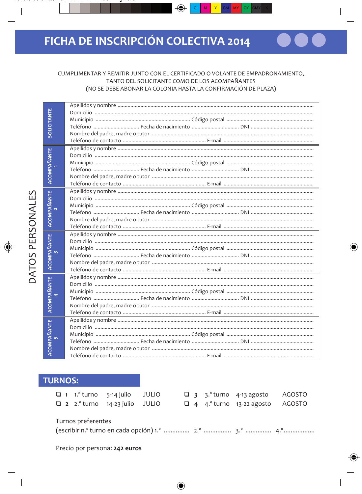#### CUMPLIMENTAR Y REMITIR JUNTO CON EL CERTIFICADO O VOLANTE DE EMPADRONAMIENTO, TANTO DEL SOLICITANTE COMO DE LOS ACOMPAÑANTES (NO SE DEBE ABONAR LA COLONIA HASTA LA CONFIRMACIÓN DE PLAZA)

| <b>SOLICITANTE</b> |  |
|--------------------|--|
|                    |  |
|                    |  |
|                    |  |
|                    |  |
|                    |  |
| ACOMPAÑANTE        |  |
|                    |  |
|                    |  |
|                    |  |
|                    |  |
|                    |  |
|                    |  |
| <b>ACOMPAÑANTE</b> |  |
|                    |  |
|                    |  |
|                    |  |
|                    |  |
|                    |  |
| ACOMPAÑANTE        |  |
|                    |  |
|                    |  |
|                    |  |
|                    |  |
|                    |  |
| <b>ACOMPAÑANTE</b> |  |
|                    |  |
|                    |  |
|                    |  |
|                    |  |
| ACOMPAÑANTE<br>5   |  |
|                    |  |
|                    |  |
|                    |  |
|                    |  |
|                    |  |

## **TURNOS:**

|                    |  | $\Box$ 1 1. turno 5-14 julio JULIO<br>$\Box$ 2 2. turno 14-23 julio JULIO |  |  |  |  | $\Box$ 3 3. turno 4-13 agosto<br>$\Box$ 4 4. turno 13-22 agosto AGOSTO | AGOSTO |
|--------------------|--|---------------------------------------------------------------------------|--|--|--|--|------------------------------------------------------------------------|--------|
| Turnos preferentes |  |                                                                           |  |  |  |  |                                                                        |        |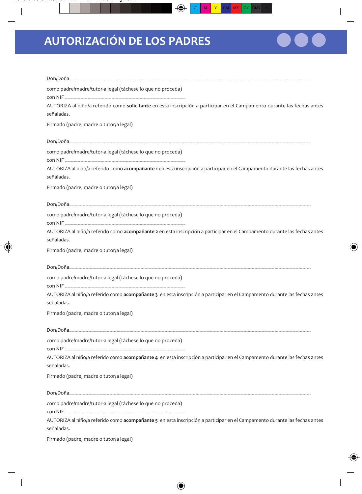# **AUTORIZACIÓN DE LOS PADRES**

| Don/Doña                                                                                                                                |
|-----------------------------------------------------------------------------------------------------------------------------------------|
| como padre/madre/tutor-a legal (táchese lo que no proceda)<br>con NIF.                                                                  |
| AUTORIZA al niño/a referido como solicitante en esta inscripción a participar en el Campamento durante las fechas antes<br>señaladas.   |
| Firmado (padre, madre o tutor/a legal)                                                                                                  |
| Don/Doña                                                                                                                                |
| como padre/madre/tutor-a legal (táchese lo que no proceda)<br>con NIF                                                                   |
| AUTORIZA al niño/a referido como acompañante 1 en esta inscripción a participar en el Campamento durante las fechas antes<br>señaladas. |
| Firmado (padre, madre o tutor/a legal)                                                                                                  |
| Don/Doña.                                                                                                                               |
| como padre/madre/tutor-a legal (táchese lo que no proceda)<br>con NIF                                                                   |
| AUTORIZA al niño/a referido como acompañante 2 en esta inscripción a participar en el Campamento durante las fechas antes<br>señaladas. |
| Firmado (padre, madre o tutor/a legal)                                                                                                  |
| Don/Doña                                                                                                                                |
| como padre/madre/tutor-a legal (táchese lo que no proceda)<br>con NIF                                                                   |
| AUTORIZA al niño/a referido como acompañante 3 en esta inscripción a participar en el Campamento durante las fechas antes<br>señaladas. |
| Firmado (padre, madre o tutor/a legal)                                                                                                  |
| Don/Doña                                                                                                                                |
| como padre/madre/tutor-a legal (táchese lo que no proceda)<br>con NIF.                                                                  |
| AUTORIZA al niño/a referido como acompañante 4 en esta inscripción a participar en el Campamento durante las fechas antes<br>señaladas. |
| Firmado (padre, madre o tutor/a legal)                                                                                                  |
| Don/Doña.                                                                                                                               |
| como padre/madre/tutor-a legal (táchese lo que no proceda)<br>con NIF                                                                   |
| AUTORIZA al niño/a referido como acompañante 5 en esta inscripción a participar en el Campamento durante las fechas antes<br>señaladas. |
| Firmado (padre, madre o tutor/a legal)                                                                                                  |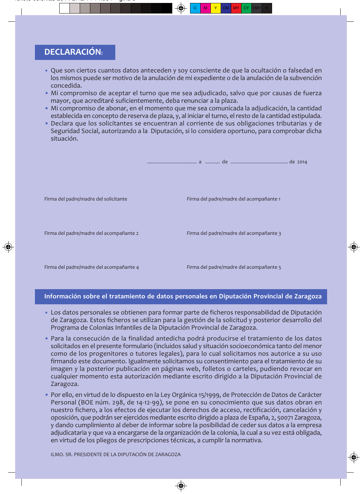# **DECLARACIÓN:**

- · Que son ciertos cuantos datos anteceden y soy consciente de que la ocultación o falsedad en los mismos puede ser motivo de la anulación de mi expediente o de la anulación de la subvención concedida.
- · Mi compromiso de aceptar el turno que me sea adjudicado, salvo que por causas de fuerza mayor, que acreditaré suficientemente, deba renunciar a la plaza.
- · Mi compromiso de abonar, en el momento que me sea comunicada la adjudicación, la cantidad establecida en concepto de reserva de plaza, y, al iniciar el turno, el resto de la cantidad estipulada.
- · Declara que los solicitantes se encuentran al corriente de sus obligaciones tributarias y de Seguridad Social, autorizando a la Diputación, si lo considera oportuno, para comprobar dicha situación.

| Firma del padre/madre del solicitante   | Firma del padre/madre del acompañante 1 |
|-----------------------------------------|-----------------------------------------|
| Firma del padre/madre del acompañante 2 | Firma del padre/madre del acompañante 3 |
| Firma del padre/madre del acompañante 4 | Firma del padre/madre del acompañante 5 |

#### Información sobre el tratamiento de datos personales en Diputación Provincial de Zaragoza

- · Los datos personales se obtienen para formar parte de ficheros responsabilidad de Diputación de Zaragoza. Estos ficheros se utilizan para la gestión de la solicitud y posterior desarrollo del Programa de Colonias Infantiles de la Diputación Provincial de Zaragoza.
- · Para la consecución de la finalidad antedicha podrá producirse el tratamiento de los datos solicitados en el presente formulario (incluidos salud y situación socioeconómica tanto del menor como de los progenitores o tutores legales), para lo cual solicitamos nos autorice a su uso firmando este documento. Igualmente solicitamos su consentimiento para el tratamiento de su imagen y la posterior publicación en páginas web, folletos o carteles, pudiendo revocar en cualquier momento esta autorización mediante escrito dirigido a la Diputación Provincial de Zaragoza.
- Por ello, en virtud de lo dispuesto en la Ley Orgánica 15/1999, de Protección de Datos de Carácter Personal (BOE núm. 298, de 14-12-99), se pone en su conocimiento que sus datos obran en nuestro fichero, a los efectos de ejecutar los derechos de acceso, rectificación, cancelación y oposición, que podrán ser ejercidos mediante escrito dirigido a plaza de España, 2, 50071 Zaragoza, y dando cumplimiento al deber de informar sobre la posibilidad de ceder sus datos a la empresa adjudicataria y que va a encargarse de la organización de la colonia, la cual a su vez está obligada, en virtud de los pliegos de prescripciones técnicas, a cumplir la normativa.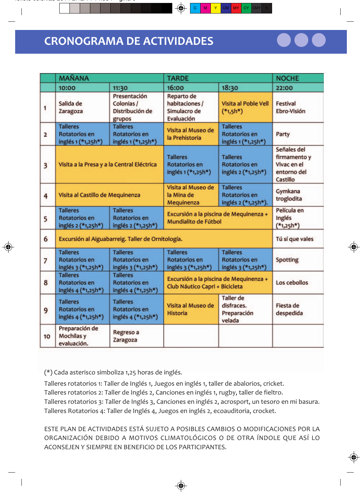# **CRONOGRAMA DE ACTIVIDADES**

|                         | <b>MAÑANA</b>                                          |                                                         | <b>TARDE</b>                                                                                   | <b>NOCHE</b>                                            |                                                                       |
|-------------------------|--------------------------------------------------------|---------------------------------------------------------|------------------------------------------------------------------------------------------------|---------------------------------------------------------|-----------------------------------------------------------------------|
|                         | 10:00                                                  | 11:30                                                   | 16:00                                                                                          | 18:30                                                   | 22:00                                                                 |
| 1                       | Salida de<br>Zaragoza                                  | Presentación<br>Colonias /<br>Distribución de<br>grupos | Reparto de<br>habitaciones /<br>Simulacro de<br>Evaluación                                     | <b>Visita al Poble Vell</b><br>$(*1,5h*)$               | <b>Festival</b><br>Ebro-Visión                                        |
| $\overline{2}$          | <b>Talleres</b><br>Rotatorios en<br>inglés 1 (*1,25h*) | <b>Talleres</b><br>Rotatorios en<br>inglés 1 (*1,25h*)  | <b>Talleres</b><br>Visita al Museo de<br>Rotatorios en<br>la Prehistoria<br>inglés 1 (*1,25h*) |                                                         | Party                                                                 |
| $\overline{\mathbf{3}}$ | Visita a la Presa y a la Central Eléctrica             |                                                         | <b>Talleres</b><br>Rotatorios en<br>inglés 1 (*1,25h*)                                         | <b>Talleres</b><br>Rotatorios en<br>inglés 2 (*1,25h*)  | Señales del<br>firmamento y<br>Vivac en el<br>entorno del<br>Castillo |
| 4                       | Visita al Castillo de Mequinenza                       |                                                         | Visita al Museo de<br>la Mina de<br>Mequinenza                                                 | <b>Talleres</b><br>Rotatorios en<br>inglés 2 (*1,25h*). | Gymkana<br>troglodita                                                 |
| 5                       | <b>Talleres</b><br>Rotatorios en<br>inglés 2 (*1,25h*) | <b>Talleres</b><br>Rotatorios en<br>inglés 2 (*1,25h*)  | Excursión a la piscina de Mequinenza +<br>Mundialito de Fútbol                                 | Película en<br>Inglés<br>$(*_{1,25}h*)$                 |                                                                       |
| 6                       | Excursión al Aiguabarreig. Taller de Ornitología.      | Tú sí que vales                                         |                                                                                                |                                                         |                                                                       |
| 7                       | <b>Talleres</b><br>Rotatorios en<br>inglés 3 (*1,25h*) | <b>Talleres</b><br>Rotatorios en<br>inglés 3 (*1,25h*)  | <b>Talleres</b><br>Rotatorios en<br>inglés 3 (*1,25h*)                                         | <b>Talleres</b><br>Rotatorios en<br>inglés 3 (*1,25h*)  |                                                                       |
| 8                       | <b>Talleres</b><br>Rotatorios en<br>inglés 4 (*1,25h*) | <b>Talleres</b><br>Rotatorios en<br>inglés 4 (*1,25h*)  | Excursión a la piscina de Mequinenza +<br>Club Náutico Capri + Bicicleta                       | Los cebollos                                            |                                                                       |
| 9                       | <b>Talleres</b><br>Rotatorios en<br>inglés 4 (*1,25h*) | <b>Talleres</b><br>Rotatorios en<br>inglés 4 (*1,25h*)  | Visita al Museo de<br><b>Historia</b>                                                          | <b>Taller</b> de<br>disfraces.<br>Preparación<br>velada | Fiesta de<br>despedida                                                |
| 10                      | Preparación de<br>Mochilas y<br>evaluación.            | Regreso a<br>Zaragoza                                   |                                                                                                |                                                         |                                                                       |

(\*) Cada asterisco simboliza 1,25 horas de inglés.

Talleres rotatorios 1: Taller de Inglés 1, Juegos en inglés 1, taller de abalorios, cricket. Talleres rotatorios 2: Taller de Inglés 2, Canciones en inglés 1, rugby, taller de fieltro. Talleres rotatorios 3: Taller de Inglés 3, Canciones en inglés 2, acrosport, un tesoro en mi basura. Talleres Rotatorios 4: Taller de Inglés 4, Juegos en inglés 2, ecoauditoria, crocket.

ESTE PLAN DE ACTIVIDADES ESTÁ SUJETO A POSIBLES CAMBIOS O MODIFICACIONES POR LA ORGANIZACIÓN DEBIDO A MOTIVOS CLIMATOLÓGICOS O DE OTRA ÍNDOLE QUE ASÍ LO ACONSE JEN Y SIEMPRE EN RENEFICIO DE LOS PARTICIPANTES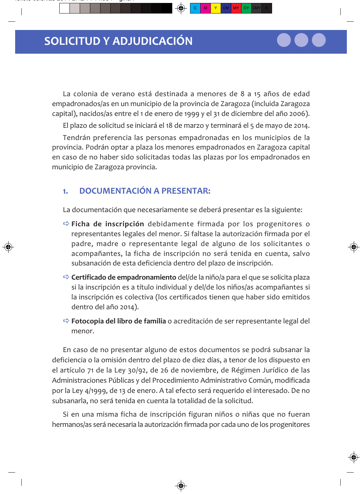La colonia de verano está destinada a menores de 8 a 15 años de edad empadronados/as en un municipio de la provincia de Zaragoza (incluida Zaragoza capital), nacidos/as entre el 1 de enero de 1999 y el 31 de diciembre del año 2006).

El plazo de solicitud se iniciará el 18 de marzo y terminará el 5 de mayo de 2014.

Tendrán preferencia las personas empadronadas en los municipios de la provincia. Podrán optar a plaza los menores empadronados en Zaragoza capital en caso de no haber sido solicitadas todas las plazas por los empadronados en municipio de Zaragoza provincia.

#### **DOCUMENTACIÓN A PRESENTAR:**  $\mathbf{L}$

La documentación que necesariamente se deberá presentar es la siguiente:

- $\Rightarrow$  Ficha de inscripción debidamente firmada por los progenitores o representantes legales del menor. Si faltase la autorización firmada por el padre, madre o representante legal de alguno de los solicitantes o acompañantes, la ficha de inscripción no será tenida en cuenta, salvo subsanación de esta deficiencia dentro del plazo de inscripción.
- $\Rightarrow$  Certificado de empadronamiento del/de la niño/a para el que se solicita plaza si la inscripción es a título individual y del/de los niños/as acompañantes si la inscripción es colectiva (los certificados tienen que haber sido emitidos dentro del año 2014).
- $\Rightarrow$  Fotocopia del libro de familia o acreditación de ser representante legal del menor.

En caso de no presentar alguno de estos documentos se podrá subsanar la deficiencia o la omisión dentro del plazo de diez días, a tenor de los dispuesto en el artículo 71 de la Ley 30/92, de 26 de noviembre, de Régimen Jurídico de las Administraciones Públicas y del Procedimiento Administrativo Común, modificada por la Ley 4/1999, de 13 de enero. A tal efecto será reguerido el interesado. De no subsanarla, no será tenida en cuenta la totalidad de la solicitud.

Si en una misma ficha de inscripción figuran niños o niñas que no fueran hermanos/as será necesaria la autorización firmada por cada uno de los progenitores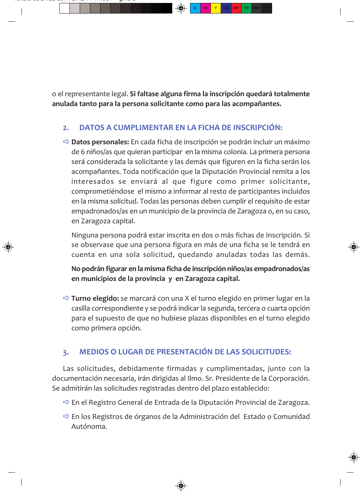o el representante legal. Si faltase alguna firma la inscripción quedará totalmente anulada tanto para la persona solicitante como para las acompañantes.

#### DATOS A CUMPLIMENTAR EN LA FICHA DE INSCRIPCIÓN:  $2.$

 $\Rightarrow$  Datos personales: En cada ficha de inscripción se podrán incluir un máximo de 6 niños/as que quieran participar en la misma colonia. La primera persona será considerada la solicitante y las demás que figuren en la ficha serán los acompañantes. Toda notificación que la Diputación Provincial remita a los interesados se enviará al que figure como primer solicitante, comprometiéndose el mismo a informar al resto de participantes incluidos en la misma solicitud. Todas las personas deben cumplir el requisito de estar empadronados/as en un municipio de la provincia de Zaragoza o, en su caso, en Zaragoza capital.

Ninguna persona podrá estar inscrita en dos o más fichas de Inscripción. Si se observase que una persona figura en más de una ficha se le tendrá en cuenta en una sola solicitud, quedando anuladas todas las demás.

No podrán figurar en la misma ficha de inscripción niños/as empadronados/as en municipios de la provincia y en Zaragoza capital.

 $\Rightarrow$  Turno elegido: se marcará con una X el turno elegido en primer lugar en la casilla correspondiente y se podrá indicar la segunda, tercera o cuarta opción para el supuesto de que no hubiese plazas disponibles en el turno elegido como primera opción.

#### **MEDIOS O LUGAR DE PRESENTACIÓN DE LAS SOLICITUDES:** 3.

Las solicitudes, debidamente firmadas y cumplimentadas, junto con la documentación necesaria, irán dirigidas al Ilmo. Sr. Presidente de la Corporación. Se admitirán las solicitudes registradas dentro del plazo establecido:

- $\Rightarrow$  En el Registro General de Entrada de la Diputación Provincial de Zaragoza.
- → En los Registros de órganos de la Administración del Estado o Comunidad Autónoma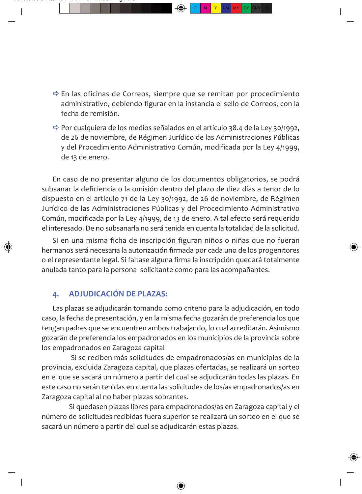- $\Rightarrow$  En las oficinas de Correos, siempre que se remitan por procedimiento administrativo, debiendo figurar en la instancia el sello de Correos, con la fecha de remisión
- $\Rightarrow$  Por cualquiera de los medios señalados en el artículo 38.4 de la Ley 30/1992, de 26 de noviembre, de Régimen Jurídico de las Administraciones Públicas y del Procedimiento Administrativo Común, modificada por la Ley 4/1999, de 13 de enero.

En caso de no presentar alguno de los documentos obligatorios, se podrá subsanar la deficiencia o la omisión dentro del plazo de diez días a tenor de lo dispuesto en el artículo 71 de la Ley 30/1992, de 26 de noviembre, de Régimen Jurídico de las Administraciones Públicas y del Procedimiento Administrativo Común, modificada por la Ley 4/1999, de 13 de enero. A tal efecto será requerido el interesado. De no subsanarla no será tenida en cuenta la totalidad de la solicitud.

Si en una misma ficha de inscripción figuran niños o niñas que no fueran hermanos será necesaria la autorización firmada por cada uno de los progenitores o el representante legal. Si faltase alguna firma la inscripción quedará totalmente anulada tanto para la persona solicitante como para las acompañantes.

#### **ADJUDICACIÓN DE PLAZAS:**  $\Delta$ .

Las plazas se adjudicarán tomando como criterio para la adjudicación, en todo caso, la fecha de presentación, y en la misma fecha gozarán de preferencia los que tengan padres que se encuentren ambos trabajando, lo cual acreditarán. Asimismo gozarán de preferencia los empadronados en los municipios de la provincia sobre los empadronados en Zaragoza capital

Si se reciben más solicitudes de empadronados/as en municipios de la provincia, excluida Zaragoza capital, que plazas ofertadas, se realizará un sorteo en el que se sacará un número a partir del cual se adjudicarán todas las plazas. En este caso no serán tenidas en cuenta las solicitudes de los/as empadronados/as en Zaragoza capital al no haber plazas sobrantes.

Si quedasen plazas libres para empadronados/as en Zaragoza capital y el número de solicitudes recibidas fuera superior se realizará un sorteo en el que se sacará un número a partir del cual se adjudicarán estas plazas.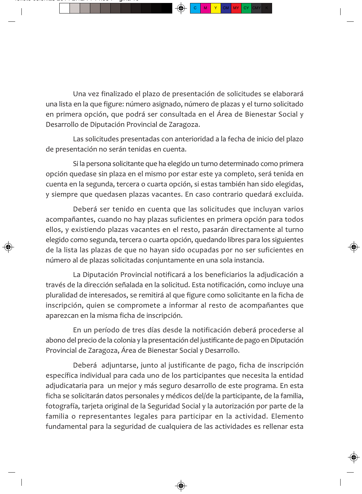Una vez finalizado el plazo de presentación de solicitudes se elaborará una lista en la que figure: número asignado, número de plazas y el turno solicitado en primera opción, que podrá ser consultada en el Área de Bienestar Social y Desarrollo de Diputación Provincial de Zaragoza.

Las solicitudes presentadas con anterioridad a la fecha de inicio del plazo de presentación no serán tenidas en cuenta.

Si la persona solicitante que ha elegido un turno determinado como primera opción quedase sin plaza en el mismo por estar este ya completo, será tenida en cuenta en la segunda, tercera o cuarta opción, si estas también han sido elegidas, y siempre que quedasen plazas vacantes. En caso contrario quedará excluida.

Deberá ser tenido en cuenta que las solicitudes que incluyan varios acompañantes, cuando no hay plazas suficientes en primera opción para todos ellos, y existiendo plazas vacantes en el resto, pasarán directamente al turno elegido como segunda, tercera o cuarta opción, quedando libres para los siguientes de la lista las plazas de que no hayan sido ocupadas por no ser suficientes en número al de plazas solicitadas conjuntamente en una sola instancia.

La Diputación Provincial notificará a los beneficiarios la adjudicación a través de la dirección señalada en la solicitud. Esta notificación, como incluye una pluralidad de interesados, se remitirá al que figure como solicitante en la ficha de inscripción, quien se compromete a informar al resto de acompañantes que aparezcan en la misma ficha de inscripción.

En un período de tres días desde la notificación deberá procederse al abono del precio de la colonia y la presentación del justificante de pago en Diputación Provincial de Zaragoza, Área de Bienestar Social y Desarrollo.

Deberá adjuntarse, junto al justificante de pago, ficha de inscripción específica individual para cada uno de los participantes que necesita la entidad adjudicataria para un mejor y más seguro desarrollo de este programa. En esta ficha se solicitarán datos personales y médicos del/de la participante, de la familia, fotografía, tarjeta original de la Seguridad Social y la autorización por parte de la familia o representantes legales para participar en la actividad. Elemento fundamental para la seguridad de cualquiera de las actividades es rellenar esta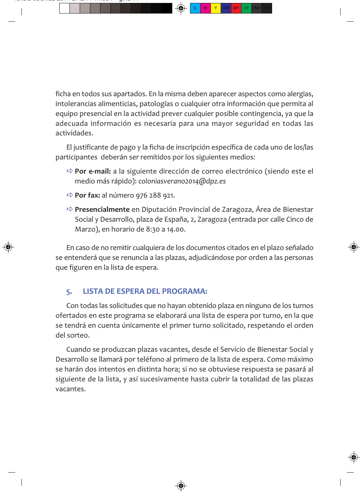ficha en todos sus apartados. En la misma deben aparecer aspectos como alergias, intolerancias alimenticias, patologías o cualquier otra información que permita al equipo presencial en la actividad prever cualquier posible contingencia, ya que la adecuada información es necesaria para una mayor seguridad en todas las actividades.

El justificante de pago y la ficha de inscripción específica de cada uno de los/las participantes deberán ser remitidos por los siguientes medios:

- $\Rightarrow$  Por e-mail: a la siguiente dirección de correo electrónico (siendo este el medio más rápido): coloniasverano2014@dpz.es
- $\Rightarrow$  Por fax: al número 976 288 921.
- $\Rightarrow$  Presencialmente en Diputación Provincial de Zaragoza. Área de Bienestar Social y Desarrollo, plaza de España, 2, Zaragoza (entrada por calle Cinco de Marzo), en horario de 8:30 a 14.00.

En caso de no remitir cualquiera de los documentos citados en el plazo señalado se entenderá que se renuncia a las plazas, adjudicándose por orden a las personas que figuren en la lista de espera.

#### **LISTA DE ESPERA DEL PROGRAMA:** 5.

Con todas las solicitudes que no hayan obtenido plaza en ninguno de los turnos ofertados en este programa se elaborará una lista de espera por turno, en la que se tendrá en cuenta únicamente el primer turno solicitado, respetando el orden del sorteo.

Cuando se produzcan plazas vacantes, desde el Servicio de Bienestar Social y Desarrollo se llamará por teléfono al primero de la lista de espera. Como máximo se harán dos intentos en distinta hora; si no se obtuviese respuesta se pasará al siguiente de la lista, y así sucesivamente hasta cubrir la totalidad de las plazas vacantes.